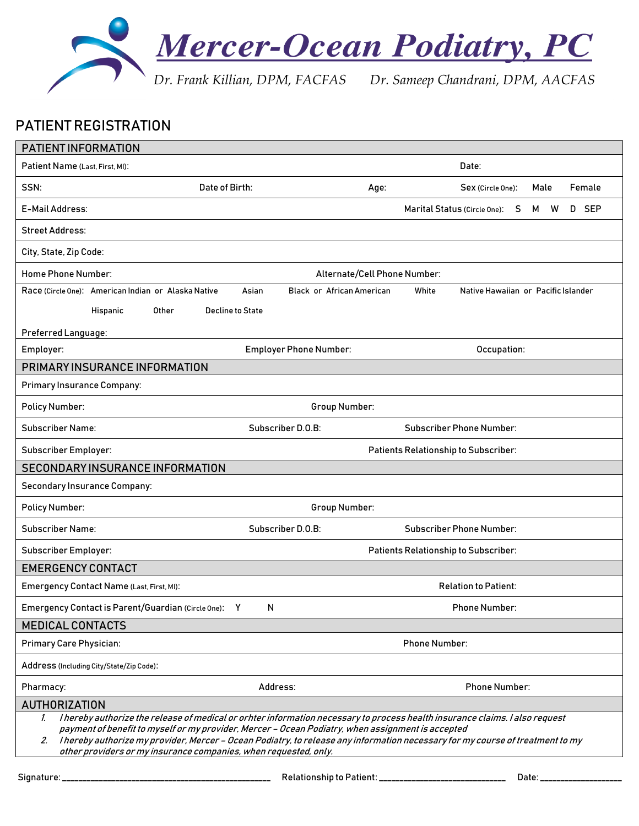

### PATIENT REGISTRATION

| PATIENT INFORMATION                                                                                                                                                                                                                                                                                                                                                                                                                                            |                                           |                                                       |  |  |  |
|----------------------------------------------------------------------------------------------------------------------------------------------------------------------------------------------------------------------------------------------------------------------------------------------------------------------------------------------------------------------------------------------------------------------------------------------------------------|-------------------------------------------|-------------------------------------------------------|--|--|--|
| Patient Name (Last, First, MI):                                                                                                                                                                                                                                                                                                                                                                                                                                |                                           | Date:                                                 |  |  |  |
| SSN:<br>Date of Birth:                                                                                                                                                                                                                                                                                                                                                                                                                                         | Age:                                      | Female<br>Sex (Circle One):<br>Male                   |  |  |  |
| E-Mail Address:                                                                                                                                                                                                                                                                                                                                                                                                                                                |                                           | D SEP<br>Marital Status (Circle One):<br>S<br>M.<br>W |  |  |  |
| <b>Street Address:</b>                                                                                                                                                                                                                                                                                                                                                                                                                                         |                                           |                                                       |  |  |  |
| City, State, Zip Code:                                                                                                                                                                                                                                                                                                                                                                                                                                         |                                           |                                                       |  |  |  |
| Home Phone Number:                                                                                                                                                                                                                                                                                                                                                                                                                                             | Alternate/Cell Phone Number:              |                                                       |  |  |  |
| Race (Circle One): American Indian or Alaska Native                                                                                                                                                                                                                                                                                                                                                                                                            | Asian<br><b>Black or African American</b> | White<br>Native Hawaiian or Pacific Islander          |  |  |  |
| Hispanic<br>Other                                                                                                                                                                                                                                                                                                                                                                                                                                              | <b>Decline to State</b>                   |                                                       |  |  |  |
| Preferred Language:                                                                                                                                                                                                                                                                                                                                                                                                                                            |                                           |                                                       |  |  |  |
| Employer:                                                                                                                                                                                                                                                                                                                                                                                                                                                      | <b>Employer Phone Number:</b>             | Occupation:                                           |  |  |  |
| PRIMARY INSURANCE INFORMATION                                                                                                                                                                                                                                                                                                                                                                                                                                  |                                           |                                                       |  |  |  |
| <b>Primary Insurance Company:</b>                                                                                                                                                                                                                                                                                                                                                                                                                              |                                           |                                                       |  |  |  |
| <b>Policy Number:</b>                                                                                                                                                                                                                                                                                                                                                                                                                                          | Group Number:                             |                                                       |  |  |  |
| Subscriber Name:                                                                                                                                                                                                                                                                                                                                                                                                                                               | Subscriber D.O.B:                         | <b>Subscriber Phone Number:</b>                       |  |  |  |
| Subscriber Employer:                                                                                                                                                                                                                                                                                                                                                                                                                                           |                                           | <b>Patients Relationship to Subscriber:</b>           |  |  |  |
| SECONDARY INSURANCE INFORMATION                                                                                                                                                                                                                                                                                                                                                                                                                                |                                           |                                                       |  |  |  |
| <b>Secondary Insurance Company:</b>                                                                                                                                                                                                                                                                                                                                                                                                                            |                                           |                                                       |  |  |  |
| <b>Policy Number:</b>                                                                                                                                                                                                                                                                                                                                                                                                                                          | Group Number:                             |                                                       |  |  |  |
| <b>Subscriber Name:</b>                                                                                                                                                                                                                                                                                                                                                                                                                                        | Subscriber D.O.B:                         | <b>Subscriber Phone Number:</b>                       |  |  |  |
| Subscriber Employer:                                                                                                                                                                                                                                                                                                                                                                                                                                           |                                           | <b>Patients Relationship to Subscriber:</b>           |  |  |  |
| <b>EMERGENCY CONTACT</b>                                                                                                                                                                                                                                                                                                                                                                                                                                       |                                           |                                                       |  |  |  |
| Emergency Contact Name (Last, First, MI):                                                                                                                                                                                                                                                                                                                                                                                                                      |                                           | <b>Relation to Patient:</b>                           |  |  |  |
| Emergency Contact is Parent/Guardian (Circle One): Y                                                                                                                                                                                                                                                                                                                                                                                                           | $\mathsf{N}$                              | <b>Phone Number:</b>                                  |  |  |  |
| <b>MEDICAL CONTACTS</b>                                                                                                                                                                                                                                                                                                                                                                                                                                        |                                           |                                                       |  |  |  |
| Primary Care Physician:                                                                                                                                                                                                                                                                                                                                                                                                                                        |                                           | <b>Phone Number:</b>                                  |  |  |  |
| Address (Including City/State/Zip Code):                                                                                                                                                                                                                                                                                                                                                                                                                       |                                           |                                                       |  |  |  |
| Pharmacy:                                                                                                                                                                                                                                                                                                                                                                                                                                                      | Address:                                  | <b>Phone Number:</b>                                  |  |  |  |
| <b>AUTHORIZATION</b>                                                                                                                                                                                                                                                                                                                                                                                                                                           |                                           |                                                       |  |  |  |
| I hereby authorize the release of medical or orhter information necessary to process health insurance claims. I also request<br>$\mathcal{L}$<br>payment of benefit to myself or my provider, Mercer - Ocean Podiatry, when assignment is accepted<br>I hereby authorize my provider, Mercer – Ocean Podiatry, to release any information necessary for my course of treatment to my<br>2.<br>other providers or my insurance companies, when requested, only. |                                           |                                                       |  |  |  |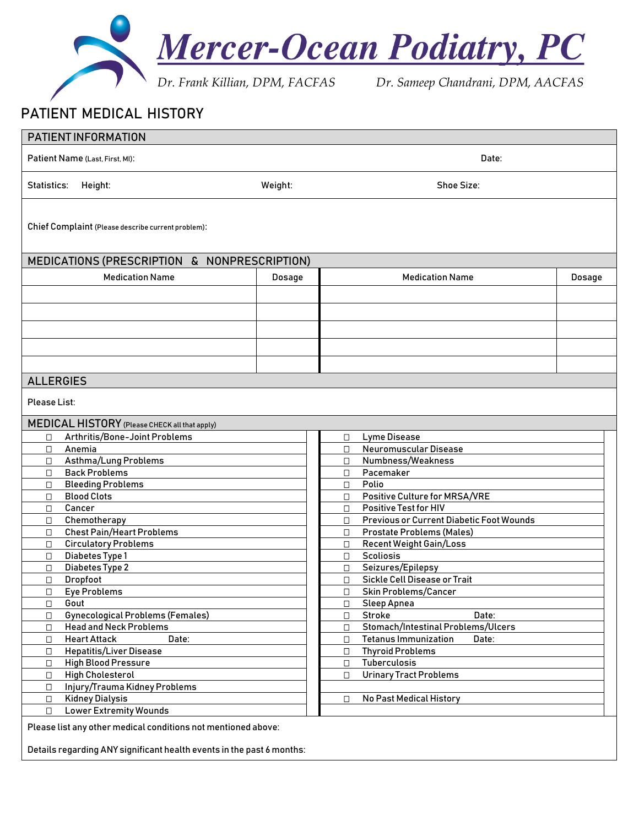

## PATIENT MEDICAL HISTORY

| PATIENT INFORMATION                               |                                                                         |                                    |                                        |                                                                    |        |  |
|---------------------------------------------------|-------------------------------------------------------------------------|------------------------------------|----------------------------------------|--------------------------------------------------------------------|--------|--|
| Patient Name (Last, First, MI):<br>Date:          |                                                                         |                                    |                                        |                                                                    |        |  |
| Statistics:                                       | Height:                                                                 | Weight:                            | Shoe Size:                             |                                                                    |        |  |
|                                                   | Chief Complaint (Please describe current problem):                      |                                    |                                        |                                                                    |        |  |
|                                                   | MEDICATIONS (PRESCRIPTION & NONPRESCRIPTION)                            |                                    |                                        |                                                                    |        |  |
|                                                   | <b>Medication Name</b>                                                  | Dosage                             |                                        | <b>Medication Name</b>                                             | Dosage |  |
|                                                   |                                                                         |                                    |                                        |                                                                    |        |  |
|                                                   |                                                                         |                                    |                                        |                                                                    |        |  |
|                                                   |                                                                         |                                    |                                        |                                                                    |        |  |
|                                                   |                                                                         |                                    |                                        |                                                                    |        |  |
|                                                   |                                                                         |                                    |                                        |                                                                    |        |  |
|                                                   |                                                                         |                                    |                                        |                                                                    |        |  |
|                                                   |                                                                         |                                    |                                        |                                                                    |        |  |
| <b>ALLERGIES</b>                                  |                                                                         |                                    |                                        |                                                                    |        |  |
| Please List:                                      |                                                                         |                                    |                                        |                                                                    |        |  |
|                                                   | MEDICAL HISTORY (Please CHECK all that apply)                           |                                    |                                        |                                                                    |        |  |
| $\Box$                                            | Arthritis/Bone-Joint Problems                                           |                                    | П                                      | Lyme Disease                                                       |        |  |
| $\Box$                                            | Anemia                                                                  |                                    | $\Box$                                 | Neuromuscular Disease                                              |        |  |
| $\Box$                                            | Asthma/Lung Problems                                                    | Numbness/Weakness<br>$\Box$        |                                        |                                                                    |        |  |
| О                                                 | <b>Back Problems</b>                                                    |                                    | О                                      | Pacemaker                                                          |        |  |
| $\Box$                                            | <b>Bleeding Problems</b>                                                |                                    | $\Box$                                 | Polio                                                              |        |  |
| $\Box$                                            | <b>Blood Clots</b>                                                      |                                    | $\Box$                                 | Positive Culture for MRSA/VRE                                      |        |  |
| $\Box$                                            | Cancer                                                                  |                                    | $\Box$                                 | <b>Positive Test for HIV</b>                                       |        |  |
| $\Box$                                            | Chemotherapy<br><b>Chest Pain/Heart Problems</b>                        |                                    | $\Box$                                 | Previous or Current Diabetic Foot Wounds                           |        |  |
| $\Box$<br>$\Box$                                  | <b>Circulatory Problems</b>                                             |                                    | $\Box$<br>$\Box$                       | <b>Prostate Problems (Males)</b><br><b>Recent Weight Gain/Loss</b> |        |  |
|                                                   |                                                                         |                                    | О.                                     | <b>Scoliosis</b>                                                   |        |  |
| $\Box$                                            | Diabetes Type 1<br>□<br>Diabetes Type 2<br>Seizures/Epilepsy<br>$\Box$  |                                    |                                        |                                                                    |        |  |
| $\Box$                                            | Dropfoot                                                                |                                    | Sickle Cell Disease or Trait<br>$\Box$ |                                                                    |        |  |
| $\Box$                                            | <b>Eye Problems</b>                                                     |                                    | $\Box$<br><b>Skin Problems/Cancer</b>  |                                                                    |        |  |
| Gout<br>$\Box$                                    |                                                                         |                                    | $\Box$                                 | Sleep Apnea                                                        |        |  |
| □                                                 | <b>Gynecological Problems (Females)</b><br>Stroke<br>$\Box$<br>Date:    |                                    |                                        |                                                                    |        |  |
| <b>Head and Neck Problems</b><br>$\Box$<br>$\Box$ |                                                                         | Stomach/Intestinal Problems/Ulcers |                                        |                                                                    |        |  |
| $\Box$                                            | <b>Heart Attack</b><br>Date:                                            |                                    | $\Box$                                 | <b>Tetanus Immunization</b><br>Date:                               |        |  |
| $\Box$                                            | <b>Hepatitis/Liver Disease</b><br><b>Thyroid Problems</b><br>$\Box$     |                                    |                                        |                                                                    |        |  |
| $\Box$                                            | <b>High Blood Pressure</b>                                              |                                    | $\Box$                                 | Tuberculosis                                                       |        |  |
| $\Box$                                            | <b>High Cholesterol</b><br><b>Urinary Tract Problems</b><br>$\Box$      |                                    |                                        |                                                                    |        |  |
| $\Box$                                            | Injury/Trauma Kidney Problems                                           |                                    |                                        |                                                                    |        |  |
|                                                   | <b>Kidney Dialysis</b><br><b>No Past Medical History</b><br>$\Box$<br>П |                                    |                                        |                                                                    |        |  |
| <b>Lower Extremity Wounds</b><br>$\Box$           |                                                                         |                                    |                                        |                                                                    |        |  |
|                                                   | Please list any other medical conditions not mentioned above:           |                                    |                                        |                                                                    |        |  |

Details regarding ANY significant health events in the past 6 months: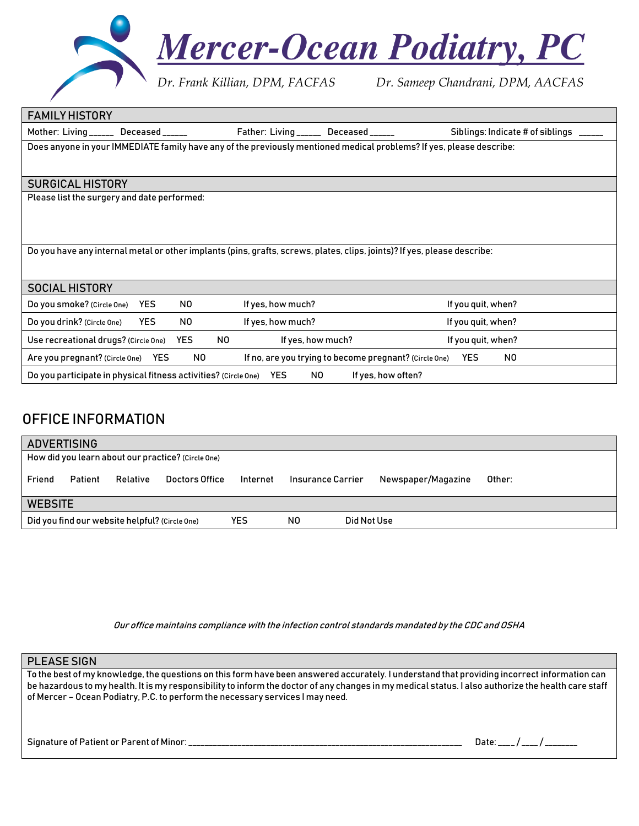

| Mother: Living ______ Deceased ______<br>Father: Living ______ Deceased ______<br>Does anyone in your IMMEDIATE family have any of the previously mentioned medical problems? If yes, please describe:<br><b>SURGICAL HISTORY</b><br>Please list the surgery and date performed:<br>Do you have any internal metal or other implants (pins, grafts, screws, plates, clips, joints)? If yes, please describe:<br><b>SOCIAL HISTORY</b><br>If yes, how much?<br>Do you smoke? (Circle One)<br>NO.<br>If you quit, when?<br><b>YES</b><br><b>YES</b><br>N0<br>If yes, how much?<br>Do you drink? (Circle One)<br>If you quit, when?<br><b>YES</b><br>NO.<br>If you quit, when?<br>Use recreational drugs? (Circle One)<br>If yes, how much?<br>N0<br>YES<br>If no, are you trying to become pregnant? (Circle One)<br>YES.<br>NO.<br>Are you pregnant? (Circle One) | <b>FAMILY HISTORY</b> |  |                                         |
|------------------------------------------------------------------------------------------------------------------------------------------------------------------------------------------------------------------------------------------------------------------------------------------------------------------------------------------------------------------------------------------------------------------------------------------------------------------------------------------------------------------------------------------------------------------------------------------------------------------------------------------------------------------------------------------------------------------------------------------------------------------------------------------------------------------------------------------------------------------|-----------------------|--|-----------------------------------------|
|                                                                                                                                                                                                                                                                                                                                                                                                                                                                                                                                                                                                                                                                                                                                                                                                                                                                  |                       |  | Siblings: Indicate # of siblings ______ |
|                                                                                                                                                                                                                                                                                                                                                                                                                                                                                                                                                                                                                                                                                                                                                                                                                                                                  |                       |  |                                         |
|                                                                                                                                                                                                                                                                                                                                                                                                                                                                                                                                                                                                                                                                                                                                                                                                                                                                  |                       |  |                                         |
|                                                                                                                                                                                                                                                                                                                                                                                                                                                                                                                                                                                                                                                                                                                                                                                                                                                                  |                       |  |                                         |
|                                                                                                                                                                                                                                                                                                                                                                                                                                                                                                                                                                                                                                                                                                                                                                                                                                                                  |                       |  |                                         |
|                                                                                                                                                                                                                                                                                                                                                                                                                                                                                                                                                                                                                                                                                                                                                                                                                                                                  |                       |  |                                         |
|                                                                                                                                                                                                                                                                                                                                                                                                                                                                                                                                                                                                                                                                                                                                                                                                                                                                  |                       |  |                                         |
|                                                                                                                                                                                                                                                                                                                                                                                                                                                                                                                                                                                                                                                                                                                                                                                                                                                                  |                       |  |                                         |
|                                                                                                                                                                                                                                                                                                                                                                                                                                                                                                                                                                                                                                                                                                                                                                                                                                                                  |                       |  |                                         |
|                                                                                                                                                                                                                                                                                                                                                                                                                                                                                                                                                                                                                                                                                                                                                                                                                                                                  |                       |  |                                         |
|                                                                                                                                                                                                                                                                                                                                                                                                                                                                                                                                                                                                                                                                                                                                                                                                                                                                  |                       |  |                                         |
|                                                                                                                                                                                                                                                                                                                                                                                                                                                                                                                                                                                                                                                                                                                                                                                                                                                                  |                       |  |                                         |
|                                                                                                                                                                                                                                                                                                                                                                                                                                                                                                                                                                                                                                                                                                                                                                                                                                                                  |                       |  |                                         |
| Do you participate in physical fitness activities? (Circle One) YES<br>NO.<br>If yes, how often?                                                                                                                                                                                                                                                                                                                                                                                                                                                                                                                                                                                                                                                                                                                                                                 |                       |  |                                         |

## OFFICE INFORMATION

|                | <b>ADVERTISING</b> |                                                |                                                    |          |    |                   |                    |        |
|----------------|--------------------|------------------------------------------------|----------------------------------------------------|----------|----|-------------------|--------------------|--------|
|                |                    |                                                | How did you learn about our practice? (Circle One) |          |    |                   |                    |        |
| Friend         | Patient            | Relative                                       | Doctors Office                                     | Internet |    | Insurance Carrier | Newspaper/Magazine | Other: |
| <b>WEBSITE</b> |                    |                                                |                                                    |          |    |                   |                    |        |
|                |                    | Did you find our website helpful? (Circle One) |                                                    | YES      | N0 | Did Not Use       |                    |        |

Our office maintains compliance with the infection control standards mandated by the CDC and OSHA

#### PLEASE SIGN

To the best of my knowledge, the questions on this form have been answered accurately. I understand that providing incorrect information can be hazardous to my health. It is my responsibility to inform the doctor of any changes in my medical status. I also authorize the health care staff of Mercer – Ocean Podiatry, P.C. to perform the necessary services I may need.

Signature of Patient or Parent of Minor: \_\_\_\_\_\_\_\_\_\_\_\_\_\_\_\_\_\_\_\_\_\_\_\_\_\_\_\_\_\_\_\_\_\_\_\_\_\_\_\_\_\_\_\_\_\_\_\_\_\_\_\_\_\_\_\_\_\_\_\_\_\_\_\_\_\_\_ Date: \_\_\_\_ / \_\_\_\_ / \_\_\_\_\_\_\_\_

| Date: | —— <i>—</i> 1<br>----- |  |
|-------|------------------------|--|
|       |                        |  |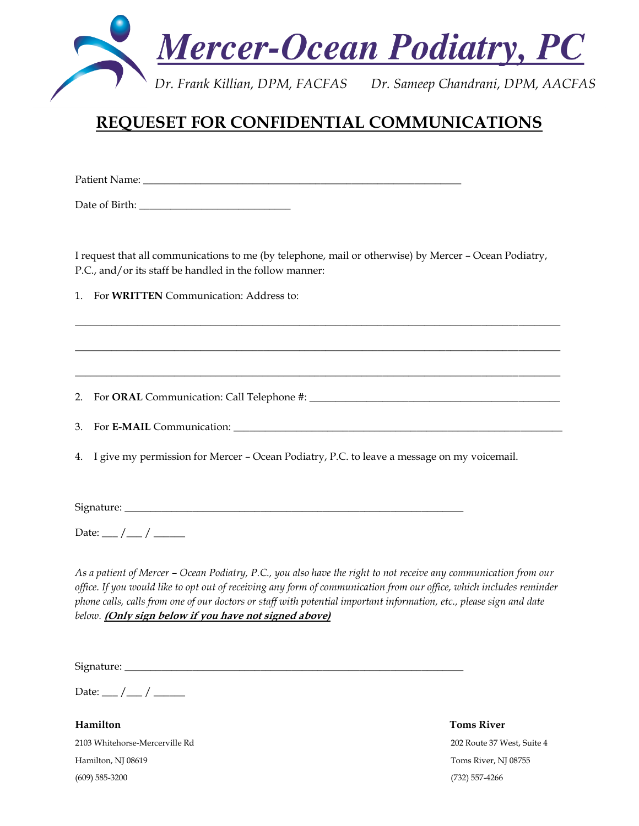

# **REQUESET FOR CONFIDENTIAL COMMUNICATIONS**

Patient Name:

Date of Birth: \_\_\_\_\_\_\_\_\_\_\_\_\_\_\_\_\_\_\_\_\_\_\_\_\_\_\_\_\_

I request that all communications to me (by telephone, mail or otherwise) by Mercer – Ocean Podiatry, P.C., and/or its staff be handled in the follow manner:

\_\_\_\_\_\_\_\_\_\_\_\_\_\_\_\_\_\_\_\_\_\_\_\_\_\_\_\_\_\_\_\_\_\_\_\_\_\_\_\_\_\_\_\_\_\_\_\_\_\_\_\_\_\_\_\_\_\_\_\_\_\_\_\_\_\_\_\_\_\_\_\_\_\_\_\_\_\_\_\_\_\_\_\_\_\_\_\_\_\_\_\_\_

\_\_\_\_\_\_\_\_\_\_\_\_\_\_\_\_\_\_\_\_\_\_\_\_\_\_\_\_\_\_\_\_\_\_\_\_\_\_\_\_\_\_\_\_\_\_\_\_\_\_\_\_\_\_\_\_\_\_\_\_\_\_\_\_\_\_\_\_\_\_\_\_\_\_\_\_\_\_\_\_\_\_\_\_\_\_\_\_\_\_\_\_\_

 $\mathcal{L}_\mathcal{L} = \{ \mathcal{L}_\mathcal{L} = \{ \mathcal{L}_\mathcal{L} = \{ \mathcal{L}_\mathcal{L} = \{ \mathcal{L}_\mathcal{L} = \{ \mathcal{L}_\mathcal{L} = \{ \mathcal{L}_\mathcal{L} = \{ \mathcal{L}_\mathcal{L} = \{ \mathcal{L}_\mathcal{L} = \{ \mathcal{L}_\mathcal{L} = \{ \mathcal{L}_\mathcal{L} = \{ \mathcal{L}_\mathcal{L} = \{ \mathcal{L}_\mathcal{L} = \{ \mathcal{L}_\mathcal{L} = \{ \mathcal{L}_\mathcal{$ 

1. For **WRITTEN** Communication: Address to:

2. For **ORAL** Communication: Call Telephone #: \_\_\_\_\_\_\_\_\_\_\_\_\_\_\_\_\_\_\_\_\_\_\_\_\_\_\_\_\_\_\_\_\_\_\_\_\_\_\_\_\_\_\_\_\_\_\_\_

3. For **E-MAIL** Communication: \_\_\_\_\_\_\_\_\_\_\_\_\_\_\_\_\_\_\_\_\_\_\_\_\_\_\_\_\_\_\_\_\_\_\_\_\_\_\_\_\_\_\_\_\_\_\_\_\_\_\_\_\_\_\_\_\_\_\_\_\_\_\_

4. I give my permission for Mercer – Ocean Podiatry, P.C. to leave a message on my voicemail.

Signature: \_\_\_\_\_\_\_\_\_\_\_\_\_\_\_\_\_\_\_\_\_\_\_\_\_\_\_\_\_\_\_\_\_\_\_\_\_\_\_\_\_\_\_\_\_\_\_\_\_\_\_\_\_\_\_\_\_\_\_\_\_\_\_\_\_

Date:  $\frac{1}{2}$  /  $\frac{1}{2}$ 

*As a patient of Mercer – Ocean Podiatry, P.C., you also have the right to not receive any communication from our office. If you would like to opt out of receiving any form of communication from our office, which includes reminder phone calls, calls from one of our doctors or staff with potential important information, etc., please sign and date below.* **(Only sign below if you have not signed above)**

Signature: \_\_\_\_\_\_\_\_\_\_\_\_\_\_\_\_\_\_\_\_\_\_\_\_\_\_\_\_\_\_\_\_\_\_\_\_\_\_\_\_\_\_\_\_\_\_\_\_\_\_\_\_\_\_\_\_\_\_\_\_\_\_\_\_\_

Date:  $\frac{1}{2}$  /  $\frac{1}{2}$ 

**Hamilton Toms River** 2103 Whitehorse-Mercerville Rd 202 Route 37 West, Suite 4 Hamilton, NJ 08619 Toms River, NJ 08755 (609) 585-3200 (732) 557-4266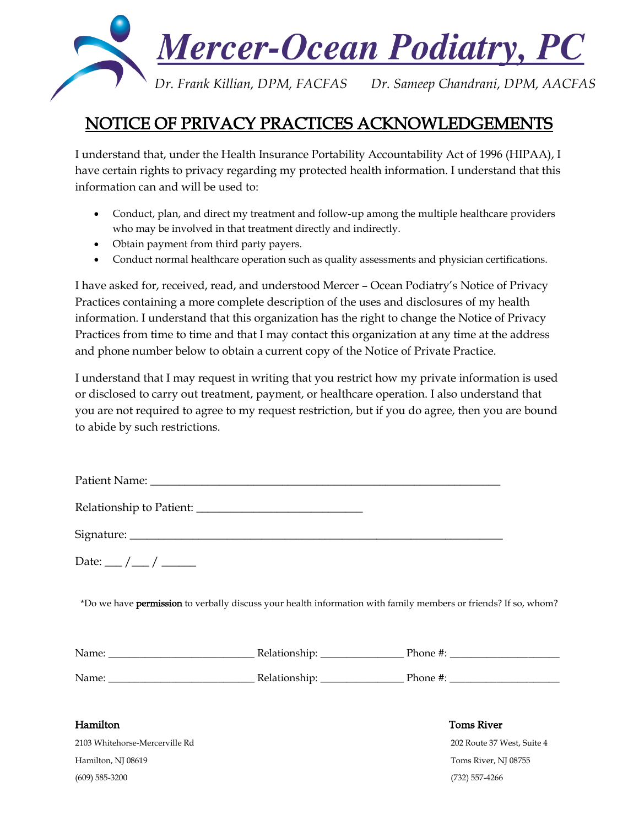

# NOTICE OF PRIVACY PRACTICES ACKNOWLEDGEMENTS

I understand that, under the Health Insurance Portability Accountability Act of 1996 (HIPAA), I have certain rights to privacy regarding my protected health information. I understand that this information can and will be used to:

- Conduct, plan, and direct my treatment and follow-up among the multiple healthcare providers who may be involved in that treatment directly and indirectly.
- Obtain payment from third party payers.
- Conduct normal healthcare operation such as quality assessments and physician certifications.

I have asked for, received, read, and understood Mercer – Ocean Podiatry's Notice of Privacy Practices containing a more complete description of the uses and disclosures of my health information. I understand that this organization has the right to change the Notice of Privacy Practices from time to time and that I may contact this organization at any time at the address and phone number below to obtain a current copy of the Notice of Private Practice.

I understand that I may request in writing that you restrict how my private information is used or disclosed to carry out treatment, payment, or healthcare operation. I also understand that you are not required to agree to my request restriction, but if you do agree, then you are bound to abide by such restrictions.

| Relationship to Patient: |  |
|--------------------------|--|
|                          |  |

Signature:

Date:  $/$  /  $/$ 

\*Do we have permission to verbally discuss your health information with family members or friends? If so, whom?

| Name: | Relationship: | Phone #: |
|-------|---------------|----------|
| Name: | Relationship: | Phone #: |

2103 Whitehorse-Mercerville Rd 202 Route 37 West, Suite 4 Hamilton, NJ 08619 Toms River, NJ 08755 (609) 585-3200 (732) 557-4266

### Hamilton Toms River